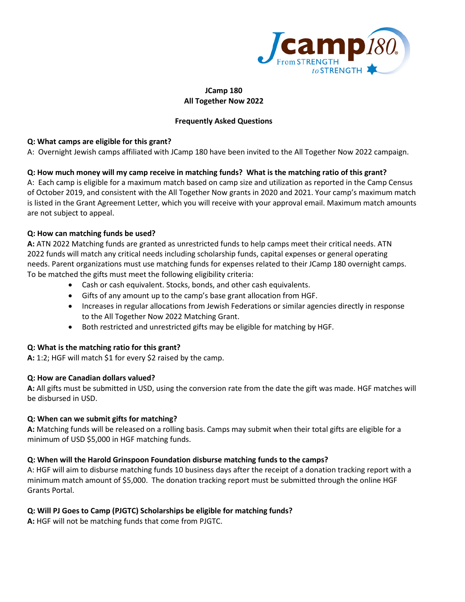

### **JCamp 180 All Together Now 2022**

## **Frequently Asked Questions**

### **Q: What camps are eligible for this grant?**

A: Overnight Jewish camps affiliated with JCamp 180 have been invited to the All Together Now 2022 campaign.

## **Q: How much money will my camp receive in matching funds? What is the matching ratio of this grant?**

A: Each camp is eligible for a maximum match based on camp size and utilization as reported in the Camp Census of October 2019, and consistent with the All Together Now grants in 2020 and 2021. Your camp's maximum match is listed in the Grant Agreement Letter, which you will receive with your approval email. Maximum match amounts are not subject to appeal.

## **Q: How can matching funds be used?**

**A:** ATN 2022 Matching funds are granted as unrestricted funds to help camps meet their critical needs. ATN 2022 funds will match any critical needs including scholarship funds, capital expenses or general operating needs. Parent organizations must use matching funds for expenses related to their JCamp 180 overnight camps. To be matched the gifts must meet the following eligibility criteria:

- Cash or cash equivalent. Stocks, bonds, and other cash equivalents.
- Gifts of any amount up to the camp's base grant allocation from HGF.
- Increases in regular allocations from Jewish Federations or similar agencies directly in response to the All Together Now 2022 Matching Grant.
- Both restricted and unrestricted gifts may be eligible for matching by HGF.

#### **Q: What is the matching ratio for this grant?**

**A:** 1:2; HGF will match \$1 for every \$2 raised by the camp.

#### **Q: How are Canadian dollars valued?**

**A:** All gifts must be submitted in USD, using the conversion rate from the date the gift was made. HGF matches will be disbursed in USD.

#### **Q: When can we submit gifts for matching?**

**A:** Matching funds will be released on a rolling basis. Camps may submit when their total gifts are eligible for a minimum of USD \$5,000 in HGF matching funds.

#### **Q: When will the Harold Grinspoon Foundation disburse matching funds to the camps?**

A: HGF will aim to disburse matching funds 10 business days after the receipt of a donation tracking report with a minimum match amount of \$5,000. The donation tracking report must be submitted through the online HGF Grants Portal.

#### **Q: Will PJ Goes to Camp (PJGTC) Scholarships be eligible for matching funds?**

**A:** HGF will not be matching funds that come from PJGTC.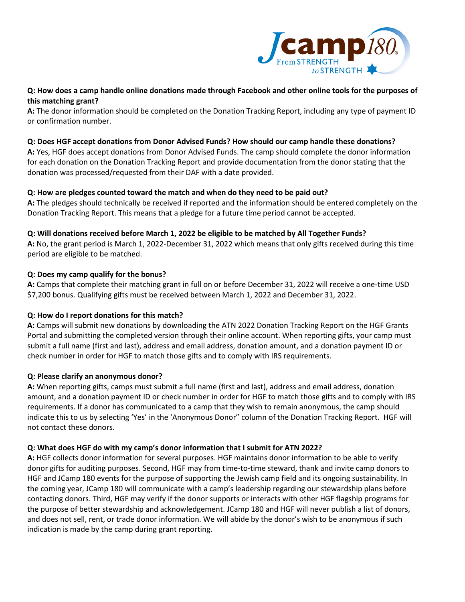

# **Q: How does a camp handle online donations made through Facebook and other online tools for the purposes of this matching grant?**

**A:** The donor information should be completed on the Donation Tracking Report, including any type of payment ID or confirmation number.

### **Q: Does HGF accept donations from Donor Advised Funds? How should our camp handle these donations?**

**A:** Yes, HGF does accept donations from Donor Advised Funds. The camp should complete the donor information for each donation on the Donation Tracking Report and provide documentation from the donor stating that the donation was processed/requested from their DAF with a date provided.

## **Q: How are pledges counted toward the match and when do they need to be paid out?**

**A:** The pledges should technically be received if reported and the information should be entered completely on the Donation Tracking Report. This means that a pledge for a future time period cannot be accepted.

## **Q: Will donations received before March 1, 2022 be eligible to be matched by All Together Funds?**

**A:** No, the grant period is March 1, 2022-December 31, 2022 which means that only gifts received during this time period are eligible to be matched.

# **Q: Does my camp qualify for the bonus?**

**A:** Camps that complete their matching grant in full on or before December 31, 2022 will receive a one-time USD \$7,200 bonus. Qualifying gifts must be received between March 1, 2022 and December 31, 2022.

# **Q: How do I report donations for this match?**

**A:** Camps will submit new donations by downloading the ATN 2022 Donation Tracking Report on the HGF Grants Portal and submitting the completed version through their online account. When reporting gifts, your camp must submit a full name (first and last), address and email address, donation amount, and a donation payment ID or check number in order for HGF to match those gifts and to comply with IRS requirements.

# **Q: Please clarify an anonymous donor?**

**A:** When reporting gifts, camps must submit a full name (first and last), address and email address, donation amount, and a donation payment ID or check number in order for HGF to match those gifts and to comply with IRS requirements. If a donor has communicated to a camp that they wish to remain anonymous, the camp should indicate this to us by selecting 'Yes' in the 'Anonymous Donor" column of the Donation Tracking Report. HGF will not contact these donors.

# **Q: What does HGF do with my camp's donor information that I submit for ATN 2022?**

**A:** HGF collects donor information for several purposes. HGF maintains donor information to be able to verify donor gifts for auditing purposes. Second, HGF may from time-to-time steward, thank and invite camp donors to HGF and JCamp 180 events for the purpose of supporting the Jewish camp field and its ongoing sustainability. In the coming year, JCamp 180 will communicate with a camp's leadership regarding our stewardship plans before contacting donors. Third, HGF may verify if the donor supports or interacts with other HGF flagship programs for the purpose of better stewardship and acknowledgement. JCamp 180 and HGF will never publish a list of donors, and does not sell, rent, or trade donor information. We will abide by the donor's wish to be anonymous if such indication is made by the camp during grant reporting.